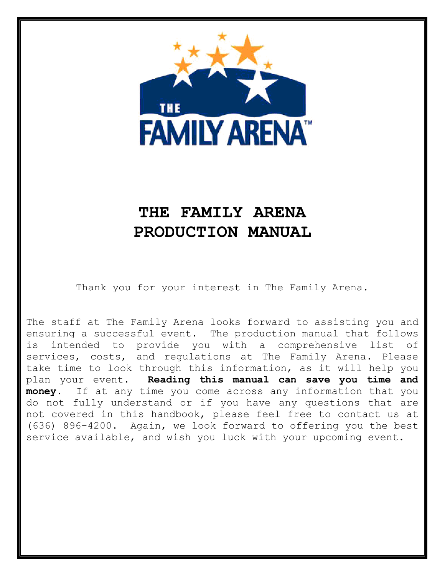

# **THE FAMILY ARENA PRODUCTION MANUAL**

Thank you for your interest in The Family Arena.

The staff at The Family Arena looks forward to assisting you and ensuring a successful event. The production manual that follows is intended to provide you with a comprehensive list of services, costs, and regulations at The Family Arena. Please take time to look through this information, as it will help you plan your event. **Reading this manual can save you time and money.** If at any time you come across any information that you do not fully understand or if you have any questions that are not covered in this handbook, please feel free to contact us at (636) 896-4200. Again, we look forward to offering you the best service available, and wish you luck with your upcoming event.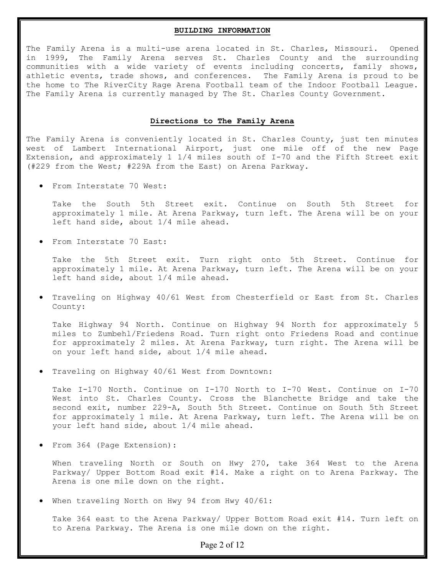## **BUILDING INFORMATION**

The Family Arena is a multi-use arena located in St. Charles, Missouri. Opened in 1999, The Family Arena serves St. Charles County and the surrounding communities with a wide variety of events including concerts, family shows, athletic events, trade shows, and conferences. The Family Arena is proud to be the home to The RiverCity Rage Arena Football team of the Indoor Football League. The Family Arena is currently managed by The St. Charles County Government.

#### **Directions to The Family Arena**

The Family Arena is conveniently located in St. Charles County, just ten minutes west of Lambert International Airport, just one mile off of the new Page Extension, and approximately 1 1/4 miles south of I-70 and the Fifth Street exit (#229 from the West; #229A from the East) on Arena Parkway.

• From Interstate 70 West:

Take the South 5th Street exit. Continue on South 5th Street for approximately 1 mile. At Arena Parkway, turn left. The Arena will be on your left hand side, about 1/4 mile ahead.

• From Interstate 70 East:

Take the 5th Street exit. Turn right onto 5th Street. Continue for approximately 1 mile. At Arena Parkway, turn left. The Arena will be on your left hand side, about 1/4 mile ahead.

• Traveling on Highway 40/61 West from Chesterfield or East from St. Charles County:

Take Highway 94 North. Continue on Highway 94 North for approximately 5 miles to Zumbehl/Friedens Road. Turn right onto Friedens Road and continue for approximately 2 miles. At Arena Parkway, turn right. The Arena will be on your left hand side, about 1/4 mile ahead.

• Traveling on Highway 40/61 West from Downtown:

Take I-170 North. Continue on I-170 North to I-70 West. Continue on I-70 West into St. Charles County. Cross the Blanchette Bridge and take the second exit, number 229-A, South 5th Street. Continue on South 5th Street for approximately 1 mile. At Arena Parkway, turn left. The Arena will be on your left hand side, about 1/4 mile ahead.

• From 364 (Page Extension):

When traveling North or South on Hwy 270, take 364 West to the Arena Parkway/ Upper Bottom Road exit #14. Make a right on to Arena Parkway. The Arena is one mile down on the right.

When traveling North on Hwy 94 from Hwy  $40/61$ :

Take 364 east to the Arena Parkway/ Upper Bottom Road exit #14. Turn left on to Arena Parkway. The Arena is one mile down on the right.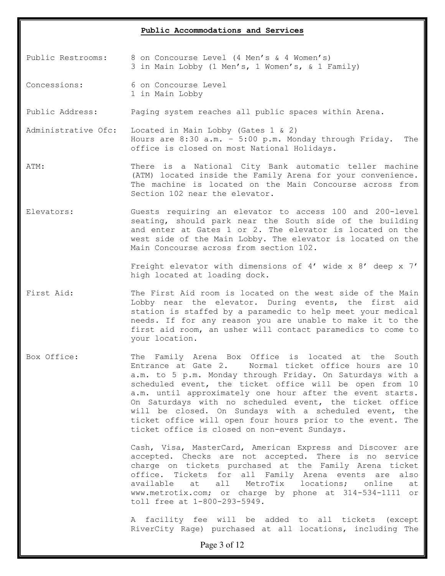# **Public Accommodations and Services**

Public Restrooms: 8 on Concourse Level (4 Men's & 4 Women's) 3 in Main Lobby (1 Men's, 1 Women's, & 1 Family)

Concessions: 6 on Concourse Level 1 in Main Lobby

Public Address: Paging system reaches all public spaces within Arena.

Administrative Ofc: Located in Main Lobby (Gates 1 & 2) Hours are 8:30 a.m. – 5:00 p.m. Monday through Friday. The office is closed on most National Holidays.

- ATM: There is a National City Bank automatic teller machine (ATM) located inside the Family Arena for your convenience. The machine is located on the Main Concourse across from Section 102 near the elevator.
- Elevators: Guests requiring an elevator to access 100 and 200-level seating, should park near the South side of the building and enter at Gates 1 or 2. The elevator is located on the west side of the Main Lobby. The elevator is located on the Main Concourse across from section 102.

Freight elevator with dimensions of 4' wide x 8' deep x 7' high located at loading dock.

- First Aid: The First Aid room is located on the west side of the Main Lobby near the elevator. During events, the first aid station is staffed by a paramedic to help meet your medical needs. If for any reason you are unable to make it to the first aid room, an usher will contact paramedics to come to your location.
- Box Office: The Family Arena Box Office is located at the South Entrance at Gate 2. Normal ticket office hours are 10 a.m. to 5 p.m. Monday through Friday. On Saturdays with a scheduled event, the ticket office will be open from 10 a.m. until approximately one hour after the event starts. On Saturdays with no scheduled event, the ticket office will be closed. On Sundays with a scheduled event, the ticket office will open four hours prior to the event. The ticket office is closed on non-event Sundays.

Cash, Visa, MasterCard, American Express and Discover are accepted. Checks are not accepted. There is no service charge on tickets purchased at the Family Arena ticket office. Tickets for all Family Arena events are also available at all MetroTix locations; online at www.metrotix.com; or charge by phone at 314-534-1111 or toll free at 1-800-293-5949.

A facility fee will be added to all tickets (except RiverCity Rage) purchased at all locations, including The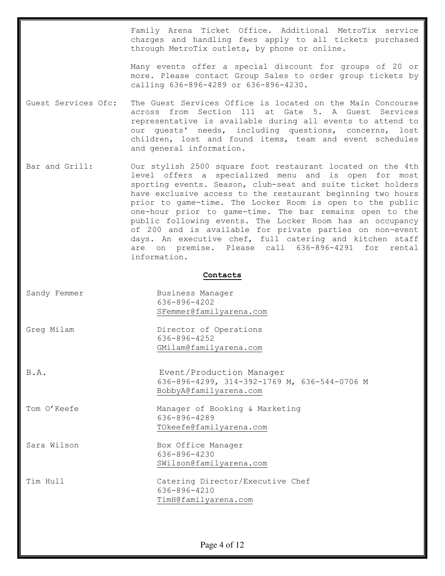Family Arena Ticket Office. Additional MetroTix service charges and handling fees apply to all tickets purchased through MetroTix outlets, by phone or online.

Many events offer a special discount for groups of 20 or more. Please contact Group Sales to order group tickets by calling 636-896-4289 or 636-896-4230.

- Guest Services Ofc: The Guest Services Office is located on the Main Concourse across from Section 111 at Gate 5. A Guest Services representative is available during all events to attend to our guests' needs, including questions, concerns, lost children, lost and found items, team and event schedules and general information.
- Bar and Grill: Our stylish 2500 square foot restaurant located on the 4th level offers a specialized menu and is open for most sporting events. Season, club-seat and suite ticket holders have exclusive access to the restaurant beginning two hours prior to game-time. The Locker Room is open to the public one-hour prior to game-time. The bar remains open to the public following events. The Locker Room has an occupancy of 200 and is available for private parties on non-event days. An executive chef, full catering and kitchen staff are on premise. Please call 636-896-4291 for rental information.

#### **Contacts**

- Sandy Femmer Business Manager 636-896-4202 [SFemmer@familyarena.com](mailto:SFemmer@familyarena.com)
- Greg Milam  $D$ Director of Operations 636-896-4252 [GMilam@familyarena.com](mailto:GMilam@familyarena.com)
- 

B.A. Event/Production Manager 636-896-4299, 314-392-1769 M, 636-544-0706 M [BobbyA@familyarena.com](mailto:BobbyA@familyarena.com)

Tom O'Keefe Manager of Booking & Marketing 636-896-4289 [TOkeefe@familyarena.com](mailto:TOkeefe@familyarena.com)

Sara Wilson Box Office Manager 636-896-4230 [SWilson@familyarena.com](mailto:SWilson@familyarena.com)

[TimH@familyarena.com](mailto:TimH@familyarena.com)

636-896-4210

Tim Hull Catering Director/Executive Chef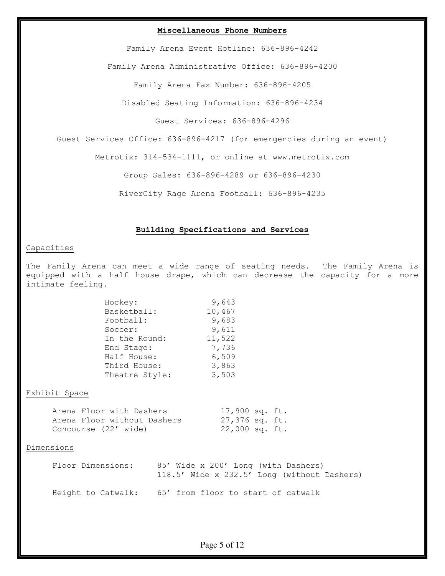## **Miscellaneous Phone Numbers**

Family Arena Event Hotline: 636-896-4242

Family Arena Administrative Office: 636-896-4200

Family Arena Fax Number: 636-896-4205

Disabled Seating Information: 636-896-4234

Guest Services: 636-896-4296

Guest Services Office: 636-896-4217 (for emergencies during an event)

Metrotix: 314-534-1111, or online at www.metrotix.com

Group Sales: 636-896-4289 or 636-896-4230

RiverCity Rage Arena Football: 636-896-4235

#### **Building Specifications and Services**

# Capacities

The Family Arena can meet a wide range of seating needs. The Family Arena is equipped with a half house drape, which can decrease the capacity for a more intimate feeling.

| Hockey:        | 9,643  |
|----------------|--------|
| Basketball:    | 10,467 |
| Football:      | 9,683  |
| Soccer:        | 9,611  |
| In the Round:  | 11,522 |
| End Stage:     | 7,736  |
| Half House:    | 6,509  |
| Third House:   | 3,863  |
| Theatre Style: | 3,503  |
|                |        |

#### Exhibit Space

| Arena Floor with Dashers    | 17,900 sq. ft. |  |
|-----------------------------|----------------|--|
| Arena Floor without Dashers | 27,376 sq. ft. |  |
| Concourse (22' wide)        | 22,000 sq. ft. |  |

## Dimensions

| Floor Dimensions:  | 85' Wide x 200' Long (with Dashers)         |
|--------------------|---------------------------------------------|
|                    | 118.5' Wide x 232.5' Long (without Dashers) |
|                    |                                             |
| Height to Catwalk: | 65' from floor to start of catwalk          |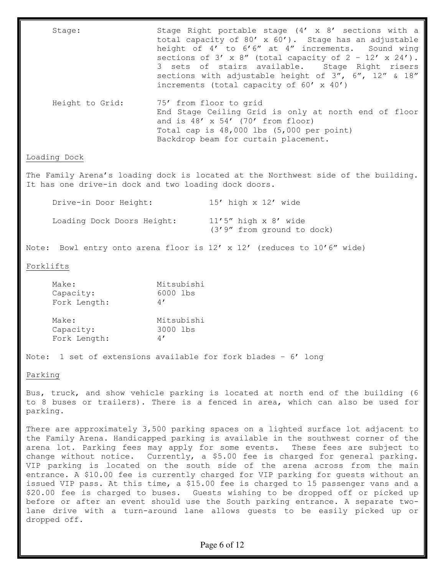| Stage:                                                                                                                                    | Stage Right portable stage (4' x 8' sections with a<br>total capacity of 80' x 60'). Stage has an adjustable<br>height of 4' to 6'6" at 4" increments. Sound wing<br>sections of $3'$ x $8''$ (total capacity of $2 - 12'$ x $24'$ ).<br>3 sets of stairs available. Stage Right risers<br>sections with adjustable height of 3", 6", 12" & 18"<br>increments (total capacity of $60' \times 40'$ ) |                                                                                                                                                                   |  |  |  |
|-------------------------------------------------------------------------------------------------------------------------------------------|-----------------------------------------------------------------------------------------------------------------------------------------------------------------------------------------------------------------------------------------------------------------------------------------------------------------------------------------------------------------------------------------------------|-------------------------------------------------------------------------------------------------------------------------------------------------------------------|--|--|--|
| Height to Grid:                                                                                                                           | 75' from floor to grid<br>End Stage Ceiling Grid is only at north end of floor<br>and is $48' \times 54'$ (70' from floor)<br>Total cap is 48,000 lbs (5,000 per point)<br>Backdrop beam for curtain placement.                                                                                                                                                                                     |                                                                                                                                                                   |  |  |  |
| Loading Dock                                                                                                                              |                                                                                                                                                                                                                                                                                                                                                                                                     |                                                                                                                                                                   |  |  |  |
| The Family Arena's loading dock is located at the Northwest side of the building.<br>It has one drive-in dock and two loading dock doors. |                                                                                                                                                                                                                                                                                                                                                                                                     |                                                                                                                                                                   |  |  |  |
| Drive-in Door Height: 15' high x 12' wide                                                                                                 |                                                                                                                                                                                                                                                                                                                                                                                                     |                                                                                                                                                                   |  |  |  |
| Loading Dock Doors Height:                                                                                                                |                                                                                                                                                                                                                                                                                                                                                                                                     | $11'5''$ high x $8'$ wide<br>(3'9" from ground to dock)                                                                                                           |  |  |  |
|                                                                                                                                           |                                                                                                                                                                                                                                                                                                                                                                                                     | Note: Bowl entry onto arena floor is $12'$ x $12'$ (reduces to $10'6''$ wide)                                                                                     |  |  |  |
| Forklifts                                                                                                                                 |                                                                                                                                                                                                                                                                                                                                                                                                     |                                                                                                                                                                   |  |  |  |
| Make:<br>Capacity:<br>Fork Length:                                                                                                        | Mitsubishi<br>6000 lbs<br>4'                                                                                                                                                                                                                                                                                                                                                                        |                                                                                                                                                                   |  |  |  |
| Make:<br>Capacity:<br>Fork Length:                                                                                                        | Mitsubishi<br>3000 lbs<br>4'                                                                                                                                                                                                                                                                                                                                                                        |                                                                                                                                                                   |  |  |  |
| Note: 1 set of extensions available for fork blades - 6' long                                                                             |                                                                                                                                                                                                                                                                                                                                                                                                     |                                                                                                                                                                   |  |  |  |
| Parking                                                                                                                                   |                                                                                                                                                                                                                                                                                                                                                                                                     |                                                                                                                                                                   |  |  |  |
|                                                                                                                                           |                                                                                                                                                                                                                                                                                                                                                                                                     | Bus, truck, and show vehicle parking is located at north end of the building (6<br>to 8 buses or trailers). There is a fenced in area, which can also be used for |  |  |  |

parking.

There are approximately 3,500 parking spaces on a lighted surface lot adjacent to the Family Arena. Handicapped parking is available in the southwest corner of the arena lot. Parking fees may apply for some events. These fees are subject to change without notice. Currently, a \$5.00 fee is charged for general parking. VIP parking is located on the south side of the arena across from the main entrance. A \$10.00 fee is currently charged for VIP parking for guests without an issued VIP pass. At this time, a \$15.00 fee is charged to 15 passenger vans and a \$20.00 fee is charged to buses. Guests wishing to be dropped off or picked up before or after an event should use the South parking entrance. A separate twolane drive with a turn-around lane allows guests to be easily picked up or dropped off.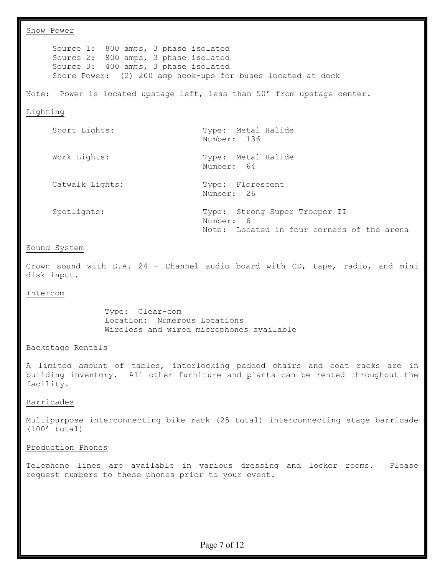Show Power Source 1: 800 amps, 3 phase isolated Source 2: 800 amps, 3 phase isolated Source 3: 400 amps, 3 phase isolated Shore Power: (2) 200 amp hook-ups for buses located at dock Note: Power is located upstage left, less than 50' from upstage center. Lighting Sport Lights: Type: Metal Halide Number: 136 Work Lights: Type: Metal Halide Number: 64 Catwalk Lights: Type: Florescent Number: 26 Spotlights: Type: Strong Super Trooper II Number: 6 Note: Located in four corners of the arena Sound System Crown sound with D.A. 24 – Channel audio board with CD, tape, radio, and mini disk input. Intercom Type: Clear-com Location: Numerous Locations Wireless and wired microphones available Backstage Rentals A limited amount of tables, interlocking padded chairs and coat racks are in building inventory. All other furniture and plants can be rented throughout the facility. Barricades Multipurpose interconnecting bike rack (25 total) interconnecting stage barricade (100' total) Production Phones Telephone lines are available in various dressing and locker rooms. Please request numbers to these phones prior to your event.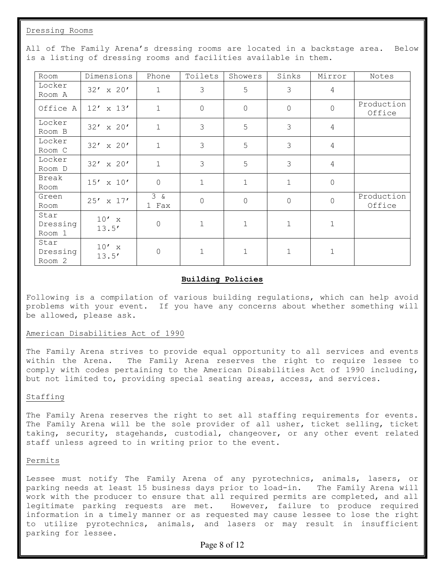Dressing Rooms

| Room                                  | Dimensions       | Phone              | Toilets        | Showers      | Sinks         | Mirror         | Notes                |
|---------------------------------------|------------------|--------------------|----------------|--------------|---------------|----------------|----------------------|
| Locker<br>Room A                      | $32' \times 20'$ | 1                  | 3              | 5            | $\mathcal{S}$ | $\overline{4}$ |                      |
| Office A                              | $12' \times 13'$ | $\mathbf{1}$       | $\overline{0}$ | $\mathsf{O}$ | $\mathbf 0$   | 0              | Production<br>Office |
| Locker<br>Room B                      | $32' \times 20'$ | $\mathbf{1}$       | 3              | 5            | 3             | $\overline{4}$ |                      |
| Locker<br>Room C                      | $32' \times 20'$ | $\mathbf{1}$       | 3              | 5            | 3             | $\overline{4}$ |                      |
| Locker<br>Room D                      | $32' \times 20'$ | $\mathbf{1}$       | 3              | 5            | 3             | $\overline{4}$ |                      |
| Break<br>Room                         | $15' \times 10'$ | $\circledcirc$     | $\mathbf{1}$   | $\mathbf 1$  | $\mathbf{1}$  | 0              |                      |
| Green<br>Room                         | $25' \times 17'$ | $3\alpha$<br>1 Fax | $\mathbf 0$    | $\mathsf{O}$ | $\mathbf 0$   | $\overline{0}$ | Production<br>Office |
| Star<br>Dressing<br>Room 1            | $10'$ x<br>13.5' | $\circledcirc$     | $\mathbf{1}$   | $\mathbf 1$  | $\mathbf{1}$  | $\mathbf{1}$   |                      |
| Star<br>Dressing<br>Room <sub>2</sub> | $10'$ x<br>13.5' | $\mathsf O$        | $\mathbf 1$    | $\mathbf 1$  | $1\,$         | $\mathbf 1$    |                      |

All of The Family Arena's dressing rooms are located in a backstage area. Below is a listing of dressing rooms and facilities available in them.

# **Building Policies**

Following is a compilation of various building regulations, which can help avoid problems with your event. If you have any concerns about whether something will be allowed, please ask.

#### American Disabilities Act of 1990

The Family Arena strives to provide equal opportunity to all services and events within the Arena. The Family Arena reserves the right to require lessee to comply with codes pertaining to the American Disabilities Act of 1990 including, but not limited to, providing special seating areas, access, and services.

#### Staffing

The Family Arena reserves the right to set all staffing requirements for events. The Family Arena will be the sole provider of all usher, ticket selling, ticket taking, security, stagehands, custodial, changeover, or any other event related staff unless agreed to in writing prior to the event.

#### Permits

Lessee must notify The Family Arena of any pyrotechnics, animals, lasers, or parking needs at least 15 business days prior to load-in. The Family Arena will work with the producer to ensure that all required permits are completed, and all legitimate parking requests are met. However, failure to produce required information in a timely manner or as requested may cause lessee to lose the right to utilize pyrotechnics, animals, and lasers or may result in insufficient parking for lessee.

## Page 8 of 12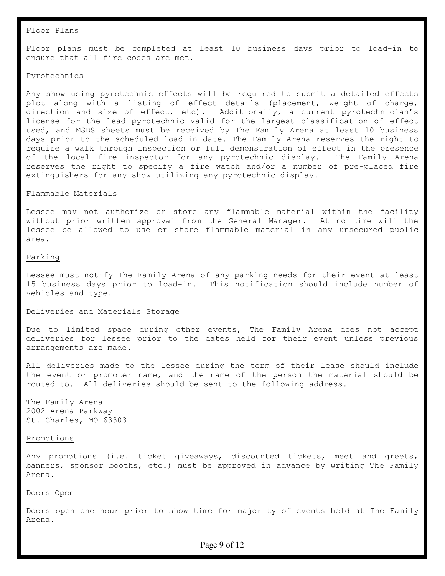#### Floor Plans

Floor plans must be completed at least 10 business days prior to load-in to ensure that all fire codes are met.

#### Pyrotechnics

Any show using pyrotechnic effects will be required to submit a detailed effects plot along with a listing of effect details (placement, weight of charge, direction and size of effect, etc). Additionally, a current pyrotechnician's license for the lead pyrotechnic valid for the largest classification of effect used, and MSDS sheets must be received by The Family Arena at least 10 business days prior to the scheduled load-in date. The Family Arena reserves the right to require a walk through inspection or full demonstration of effect in the presence of the local fire inspector for any pyrotechnic display. The Family Arena reserves the right to specify a fire watch and/or a number of pre-placed fire extinguishers for any show utilizing any pyrotechnic display.

#### Flammable Materials

Lessee may not authorize or store any flammable material within the facility without prior written approval from the General Manager. At no time will the lessee be allowed to use or store flammable material in any unsecured public area.

## Parking

Lessee must notify The Family Arena of any parking needs for their event at least 15 business days prior to load-in. This notification should include number of vehicles and type.

## Deliveries and Materials Storage

Due to limited space during other events, The Family Arena does not accept deliveries for lessee prior to the dates held for their event unless previous arrangements are made.

All deliveries made to the lessee during the term of their lease should include the event or promoter name, and the name of the person the material should be routed to. All deliveries should be sent to the following address.

The Family Arena 2002 Arena Parkway St. Charles, MO 63303

#### Promotions

Any promotions (i.e. ticket giveaways, discounted tickets, meet and greets, banners, sponsor booths, etc.) must be approved in advance by writing The Family Arena.

#### Doors Open

Doors open one hour prior to show time for majority of events held at The Family Arena.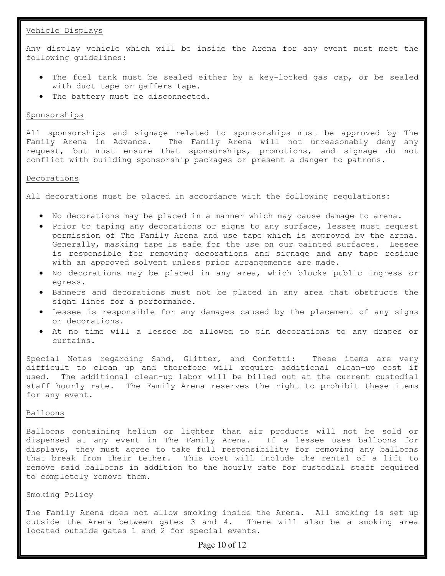# Vehicle Displays

Any display vehicle which will be inside the Arena for any event must meet the following guidelines:

- The fuel tank must be sealed either by a key-locked gas cap, or be sealed with duct tape or gaffers tape.
- The battery must be disconnected.

# Sponsorships

All sponsorships and signage related to sponsorships must be approved by The Family Arena in Advance. The Family Arena will not unreasonably deny any request, but must ensure that sponsorships, promotions, and signage do not conflict with building sponsorship packages or present a danger to patrons.

# Decorations

All decorations must be placed in accordance with the following regulations:

- No decorations may be placed in a manner which may cause damage to arena.
- Prior to taping any decorations or signs to any surface, lessee must request permission of The Family Arena and use tape which is approved by the arena. Generally, masking tape is safe for the use on our painted surfaces. Lessee is responsible for removing decorations and signage and any tape residue with an approved solvent unless prior arrangements are made.
- No decorations may be placed in any area, which blocks public ingress or egress.
- Banners and decorations must not be placed in any area that obstructs the sight lines for a performance.
- Lessee is responsible for any damages caused by the placement of any signs or decorations.
- At no time will a lessee be allowed to pin decorations to any drapes or curtains.

Special Notes regarding Sand, Glitter, and Confetti: These items are very difficult to clean up and therefore will require additional clean-up cost if used. The additional clean-up labor will be billed out at the current custodial staff hourly rate. The Family Arena reserves the right to prohibit these items for any event.

# Balloons

Balloons containing helium or lighter than air products will not be sold or dispensed at any event in The Family Arena. If a lessee uses balloons for displays, they must agree to take full responsibility for removing any balloons that break from their tether. This cost will include the rental of a lift to remove said balloons in addition to the hourly rate for custodial staff required to completely remove them.

# Smoking Policy

The Family Arena does not allow smoking inside the Arena. All smoking is set up outside the Arena between gates 3 and 4. There will also be a smoking area located outside gates 1 and 2 for special events.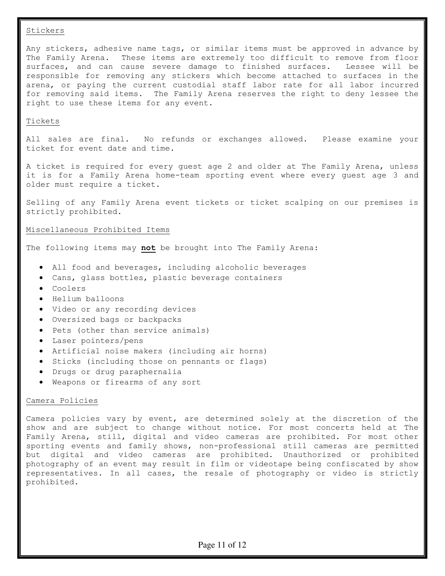## Stickers

Any stickers, adhesive name tags, or similar items must be approved in advance by The Family Arena. These items are extremely too difficult to remove from floor surfaces, and can cause severe damage to finished surfaces. Lessee will be responsible for removing any stickers which become attached to surfaces in the arena, or paying the current custodial staff labor rate for all labor incurred for removing said items. The Family Arena reserves the right to deny lessee the right to use these items for any event.

## Tickets

All sales are final. No refunds or exchanges allowed. Please examine your ticket for event date and time.

A ticket is required for every guest age 2 and older at The Family Arena, unless it is for a Family Arena home-team sporting event where every guest age 3 and older must require a ticket.

Selling of any Family Arena event tickets or ticket scalping on our premises is strictly prohibited.

## Miscellaneous Prohibited Items

The following items may **not** be brought into The Family Arena:

- All food and beverages, including alcoholic beverages
- Cans, glass bottles, plastic beverage containers
- Coolers
- Helium balloons
- Video or any recording devices
- Oversized bags or backpacks
- Pets (other than service animals)
- Laser pointers/pens
- Artificial noise makers (including air horns)
- Sticks (including those on pennants or flags)
- Drugs or drug paraphernalia
- Weapons or firearms of any sort

## Camera Policies

Camera policies vary by event, are determined solely at the discretion of the show and are subject to change without notice. For most concerts held at The Family Arena, still, digital and video cameras are prohibited. For most other sporting events and family shows, non-professional still cameras are permitted but digital and video cameras are prohibited. Unauthorized or prohibited photography of an event may result in film or videotape being confiscated by show representatives. In all cases, the resale of photography or video is strictly prohibited.